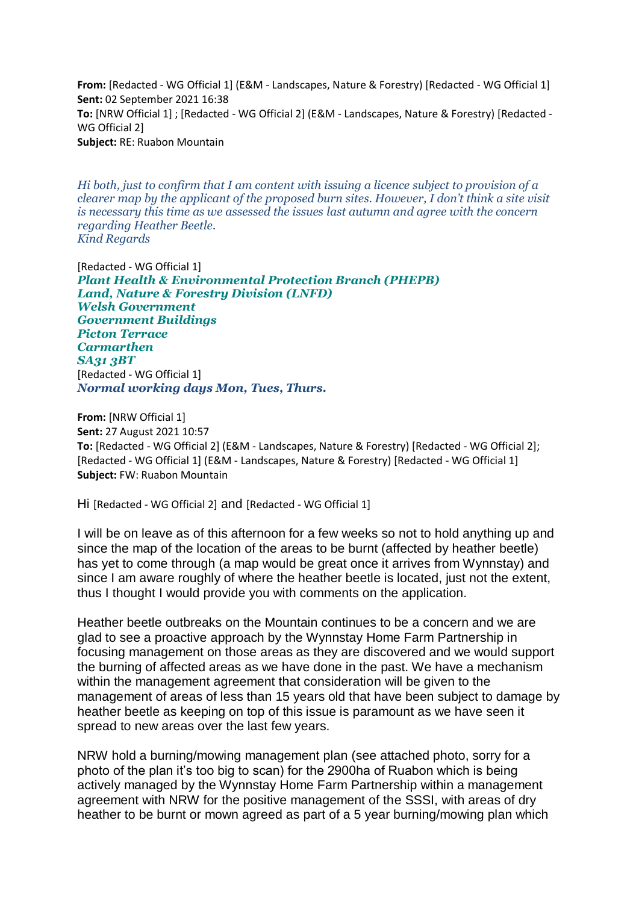**From:** [Redacted - WG Official 1] (E&M - Landscapes, Nature & Forestry) [Redacted - WG Official 1] **Sent:** 02 September 2021 16:38 **To:** [NRW Official 1] ; [Redacted - WG Official 2] (E&M - Landscapes, Nature & Forestry) [Redacted - WG Official 2] **Subject:** RE: Ruabon Mountain

*Hi both, just to confirm that I am content with issuing a licence subject to provision of a clearer map by the applicant of the proposed burn sites. However, I don't think a site visit is necessary this time as we assessed the issues last autumn and agree with the concern regarding Heather Beetle. Kind Regards*

[Redacted - WG Official 1] *Plant Health & Environmental Protection Branch (PHEPB) Land, Nature & Forestry Division (LNFD) Welsh Government Government Buildings Picton Terrace Carmarthen SA31 3BT* [Redacted - WG Official 1] *Normal working days Mon, Tues, Thurs.*

**From:** [NRW Official 1] **Sent:** 27 August 2021 10:57 **To:** [Redacted - WG Official 2] (E&M - Landscapes, Nature & Forestry) [Redacted - WG Official 2]; [Redacted - WG Official 1] (E&M - Landscapes, Nature & Forestry) [Redacted - WG Official 1] **Subject:** FW: Ruabon Mountain

Hi [Redacted - WG Official 2] and [Redacted - WG Official 1]

I will be on leave as of this afternoon for a few weeks so not to hold anything up and since the map of the location of the areas to be burnt (affected by heather beetle) has yet to come through (a map would be great once it arrives from Wynnstay) and since I am aware roughly of where the heather beetle is located, just not the extent, thus I thought I would provide you with comments on the application.

Heather beetle outbreaks on the Mountain continues to be a concern and we are glad to see a proactive approach by the Wynnstay Home Farm Partnership in focusing management on those areas as they are discovered and we would support the burning of affected areas as we have done in the past. We have a mechanism within the management agreement that consideration will be given to the management of areas of less than 15 years old that have been subject to damage by heather beetle as keeping on top of this issue is paramount as we have seen it spread to new areas over the last few years.

NRW hold a burning/mowing management plan (see attached photo, sorry for a photo of the plan it's too big to scan) for the 2900ha of Ruabon which is being actively managed by the Wynnstay Home Farm Partnership within a management agreement with NRW for the positive management of the SSSI, with areas of dry heather to be burnt or mown agreed as part of a 5 year burning/mowing plan which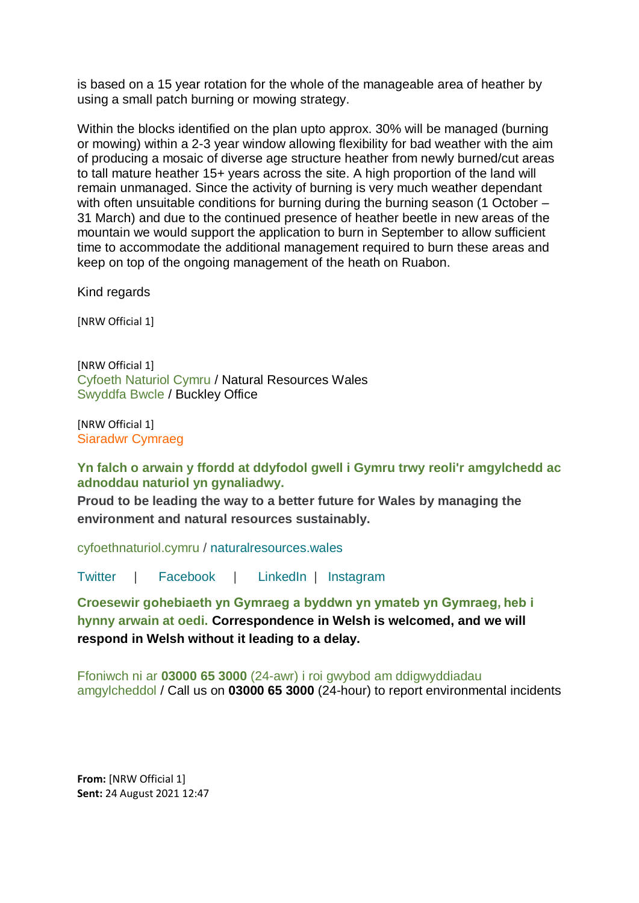is based on a 15 year rotation for the whole of the manageable area of heather by using a small patch burning or mowing strategy.

Within the blocks identified on the plan upto approx. 30% will be managed (burning or mowing) within a 2-3 year window allowing flexibility for bad weather with the aim of producing a mosaic of diverse age structure heather from newly burned/cut areas to tall mature heather 15+ years across the site. A high proportion of the land will remain unmanaged. Since the activity of burning is very much weather dependant with often unsuitable conditions for burning during the burning season (1 October – 31 March) and due to the continued presence of heather beetle in new areas of the mountain we would support the application to burn in September to allow sufficient time to accommodate the additional management required to burn these areas and keep on top of the ongoing management of the heath on Ruabon.

Kind regards

[NRW Official 1]

[NRW Official 1] Cyfoeth Naturiol Cymru / Natural Resources Wales Swyddfa Bwcle / Buckley Office

[NRW Official 1] Siaradwr Cymraeg

**Yn falch o arwain y ffordd at ddyfodol gwell i Gymru trwy reoli'r amgylchedd ac adnoddau naturiol yn gynaliadwy.** 

**Proud to be leading the way to a better future for Wales by managing the environment and natural resources sustainably.**

[cyfoethnaturiol.cymru](https://eur01.safelinks.protection.outlook.com/?url=https%3A%2F%2Fcyfoethnaturiol.cymru%2F%3Flang%3Dcy&data=04%7C01%7CGareth.Davies3%40gov.wales%7C798ada5d1b5c42df24f408d96e27a49e%7Ca2cc36c592804ae78887d06dab89216b%7C0%7C0%7C637661938800013951%7CUnknown%7CTWFpbGZsb3d8eyJWIjoiMC4wLjAwMDAiLCJQIjoiV2luMzIiLCJBTiI6Ik1haWwiLCJXVCI6Mn0%3D%7C1000&sdata=FNWq2xXDRbpCDgOmSeSZnkPUGzg5bb8q2Ti3A60x2wk%3D&reserved=0) / [naturalresources.wales](https://eur01.safelinks.protection.outlook.com/?url=https%3A%2F%2Fcyfoethnaturiol.cymru%2F%3Flang%3Den&data=04%7C01%7CGareth.Davies3%40gov.wales%7C798ada5d1b5c42df24f408d96e27a49e%7Ca2cc36c592804ae78887d06dab89216b%7C0%7C0%7C637661938800023916%7CUnknown%7CTWFpbGZsb3d8eyJWIjoiMC4wLjAwMDAiLCJQIjoiV2luMzIiLCJBTiI6Ik1haWwiLCJXVCI6Mn0%3D%7C1000&sdata=nFpzEDwBNv87kgwubx24b52SQNclqpgIxygKbCAWrTM%3D&reserved=0)

[Twitter](https://eur01.safelinks.protection.outlook.com/?url=https%3A%2F%2Ftwitter.com%2FNatResWales&data=04%7C01%7CGareth.Davies3%40gov.wales%7C798ada5d1b5c42df24f408d96e27a49e%7Ca2cc36c592804ae78887d06dab89216b%7C0%7C0%7C637661938800033872%7CUnknown%7CTWFpbGZsb3d8eyJWIjoiMC4wLjAwMDAiLCJQIjoiV2luMzIiLCJBTiI6Ik1haWwiLCJXVCI6Mn0%3D%7C1000&sdata=Ei1EhR%2FDRoE9%2Fyr8N6HV6H3afjEOi4X36D00IqZMuOs%3D&reserved=0) | [Facebook](https://eur01.safelinks.protection.outlook.com/?url=https%3A%2F%2Fwww.facebook.com%2FNatResWales&data=04%7C01%7CGareth.Davies3%40gov.wales%7C798ada5d1b5c42df24f408d96e27a49e%7Ca2cc36c592804ae78887d06dab89216b%7C0%7C0%7C637661938800033872%7CUnknown%7CTWFpbGZsb3d8eyJWIjoiMC4wLjAwMDAiLCJQIjoiV2luMzIiLCJBTiI6Ik1haWwiLCJXVCI6Mn0%3D%7C1000&sdata=AXBu5TIlUMtpci61KKM4X2%2BrE8akGz73TRqCrr51a4c%3D&reserved=0) | [LinkedIn](https://eur01.safelinks.protection.outlook.com/?url=https%3A%2F%2Fwww.linkedin.com%2Fcompany%2Fcyfoeth-naturiol-cymru-natural-resources-wales&data=04%7C01%7CGareth.Davies3%40gov.wales%7C798ada5d1b5c42df24f408d96e27a49e%7Ca2cc36c592804ae78887d06dab89216b%7C0%7C0%7C637661938800033872%7CUnknown%7CTWFpbGZsb3d8eyJWIjoiMC4wLjAwMDAiLCJQIjoiV2luMzIiLCJBTiI6Ik1haWwiLCJXVCI6Mn0%3D%7C1000&sdata=CxPh1pnhzuvY6Fl%2FidS6TQpuczvnittpNFrcfmjkP%2Fo%3D&reserved=0) | [Instagram](https://eur01.safelinks.protection.outlook.com/?url=https%3A%2F%2Fwww.instagram.com%2Fnatreswales%2F&data=04%7C01%7CGareth.Davies3%40gov.wales%7C798ada5d1b5c42df24f408d96e27a49e%7Ca2cc36c592804ae78887d06dab89216b%7C0%7C0%7C637661938800043819%7CUnknown%7CTWFpbGZsb3d8eyJWIjoiMC4wLjAwMDAiLCJQIjoiV2luMzIiLCJBTiI6Ik1haWwiLCJXVCI6Mn0%3D%7C1000&sdata=dT0rdRiCdMdoBJMw6uZbFJuYZNzbFXGhmN9RZ55iDiM%3D&reserved=0)

**Croesewir gohebiaeth yn Gymraeg a byddwn yn ymateb yn Gymraeg, heb i hynny arwain at oedi. Correspondence in Welsh is welcomed, and we will respond in Welsh without it leading to a delay.**

Ffoniwch ni ar **03000 65 3000** (24-awr) i roi gwybod am ddigwyddiadau amgylcheddol / Call us on **03000 65 3000** (24-hour) to report environmental incidents

**From:** [NRW Official 1] **Sent:** 24 August 2021 12:47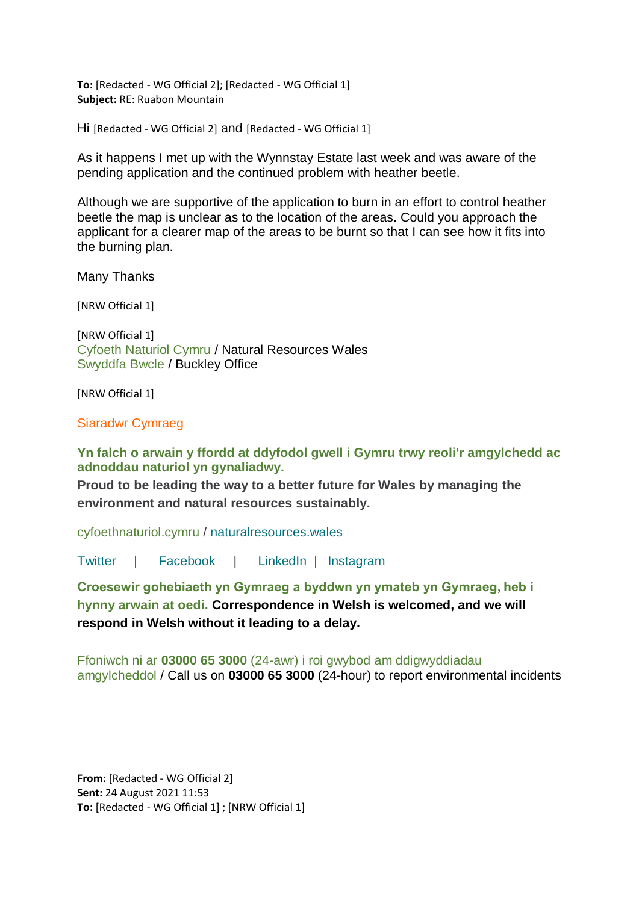**To:** [Redacted - WG Official 2]; [Redacted - WG Official 1] **Subject:** RE: Ruabon Mountain

Hi [Redacted - WG Official 2] and [Redacted - WG Official 1]

As it happens I met up with the Wynnstay Estate last week and was aware of the pending application and the continued problem with heather beetle.

Although we are supportive of the application to burn in an effort to control heather beetle the map is unclear as to the location of the areas. Could you approach the applicant for a clearer map of the areas to be burnt so that I can see how it fits into the burning plan.

Many Thanks

[NRW Official 1]

[NRW Official 1] Cyfoeth Naturiol Cymru / Natural Resources Wales Swyddfa Bwcle / Buckley Office

[NRW Official 1]

Siaradwr Cymraeg

**Yn falch o arwain y ffordd at ddyfodol gwell i Gymru trwy reoli'r amgylchedd ac adnoddau naturiol yn gynaliadwy.** 

**Proud to be leading the way to a better future for Wales by managing the environment and natural resources sustainably.**

[cyfoethnaturiol.cymru](https://eur01.safelinks.protection.outlook.com/?url=https%3A%2F%2Fcyfoethnaturiol.cymru%2F%3Flang%3Dcy&data=04%7C01%7CGareth.Davies3%40gov.wales%7C798ada5d1b5c42df24f408d96e27a49e%7Ca2cc36c592804ae78887d06dab89216b%7C0%7C0%7C637661938800043819%7CUnknown%7CTWFpbGZsb3d8eyJWIjoiMC4wLjAwMDAiLCJQIjoiV2luMzIiLCJBTiI6Ik1haWwiLCJXVCI6Mn0%3D%7C1000&sdata=rE9RsLxtO0Z31JY0H12oMlIupmB40Bhhy8Z6y0Mo18E%3D&reserved=0) / [naturalresources.wales](https://eur01.safelinks.protection.outlook.com/?url=https%3A%2F%2Fcyfoethnaturiol.cymru%2F%3Flang%3Den&data=04%7C01%7CGareth.Davies3%40gov.wales%7C798ada5d1b5c42df24f408d96e27a49e%7Ca2cc36c592804ae78887d06dab89216b%7C0%7C0%7C637661938800053776%7CUnknown%7CTWFpbGZsb3d8eyJWIjoiMC4wLjAwMDAiLCJQIjoiV2luMzIiLCJBTiI6Ik1haWwiLCJXVCI6Mn0%3D%7C1000&sdata=UbeiduQzktrgZq4UacMBOTChn3fryj547xWtbch4p8g%3D&reserved=0)

[Twitter](https://eur01.safelinks.protection.outlook.com/?url=https%3A%2F%2Ftwitter.com%2FNatResWales&data=04%7C01%7CGareth.Davies3%40gov.wales%7C798ada5d1b5c42df24f408d96e27a49e%7Ca2cc36c592804ae78887d06dab89216b%7C0%7C0%7C637661938800053776%7CUnknown%7CTWFpbGZsb3d8eyJWIjoiMC4wLjAwMDAiLCJQIjoiV2luMzIiLCJBTiI6Ik1haWwiLCJXVCI6Mn0%3D%7C1000&sdata=%2B%2F0CidHixjQVxzI7U61VcYzBeJq%2BdjsujAXkpoff9oY%3D&reserved=0) | [Facebook](https://eur01.safelinks.protection.outlook.com/?url=https%3A%2F%2Fwww.facebook.com%2FNatResWales&data=04%7C01%7CGareth.Davies3%40gov.wales%7C798ada5d1b5c42df24f408d96e27a49e%7Ca2cc36c592804ae78887d06dab89216b%7C0%7C0%7C637661938800063735%7CUnknown%7CTWFpbGZsb3d8eyJWIjoiMC4wLjAwMDAiLCJQIjoiV2luMzIiLCJBTiI6Ik1haWwiLCJXVCI6Mn0%3D%7C1000&sdata=0ACGU%2FR8PjDv42vyeVb6MbmTQP81l%2B8oHeGIX6d165U%3D&reserved=0) | [LinkedIn](https://eur01.safelinks.protection.outlook.com/?url=https%3A%2F%2Fwww.linkedin.com%2Fcompany%2Fcyfoeth-naturiol-cymru-natural-resources-wales&data=04%7C01%7CGareth.Davies3%40gov.wales%7C798ada5d1b5c42df24f408d96e27a49e%7Ca2cc36c592804ae78887d06dab89216b%7C0%7C0%7C637661938800063735%7CUnknown%7CTWFpbGZsb3d8eyJWIjoiMC4wLjAwMDAiLCJQIjoiV2luMzIiLCJBTiI6Ik1haWwiLCJXVCI6Mn0%3D%7C1000&sdata=moJrAOcHOokAW4g%2F8E7sbDNo1B2AZ91X0XqFLYAm4s0%3D&reserved=0) | [Instagram](https://eur01.safelinks.protection.outlook.com/?url=https%3A%2F%2Fwww.instagram.com%2Fnatreswales%2F&data=04%7C01%7CGareth.Davies3%40gov.wales%7C798ada5d1b5c42df24f408d96e27a49e%7Ca2cc36c592804ae78887d06dab89216b%7C0%7C0%7C637661938800073683%7CUnknown%7CTWFpbGZsb3d8eyJWIjoiMC4wLjAwMDAiLCJQIjoiV2luMzIiLCJBTiI6Ik1haWwiLCJXVCI6Mn0%3D%7C1000&sdata=t8IzPUOpCUIlH%2FP9RNheDlawHnGiK87jdvX6rneiKXY%3D&reserved=0)

**Croesewir gohebiaeth yn Gymraeg a byddwn yn ymateb yn Gymraeg, heb i hynny arwain at oedi. Correspondence in Welsh is welcomed, and we will respond in Welsh without it leading to a delay.**

Ffoniwch ni ar **03000 65 3000** (24-awr) i roi gwybod am ddigwyddiadau amgylcheddol / Call us on **03000 65 3000** (24-hour) to report environmental incidents

**From:** [Redacted - WG Official 2] **Sent:** 24 August 2021 11:53 **To:** [Redacted - WG Official 1] ; [NRW Official 1]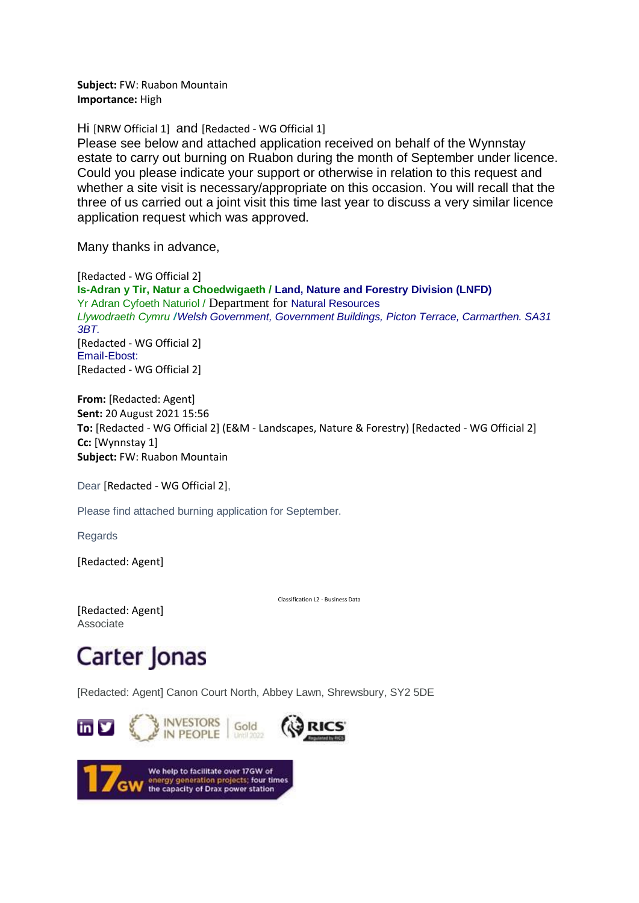**Subject:** FW: Ruabon Mountain **Importance:** High

Hi [NRW Official 1] and [Redacted - WG Official 1]

Please see below and attached application received on behalf of the Wynnstay estate to carry out burning on Ruabon during the month of September under licence. Could you please indicate your support or otherwise in relation to this request and whether a site visit is necessary/appropriate on this occasion. You will recall that the three of us carried out a joint visit this time last year to discuss a very similar licence application request which was approved.

Many thanks in advance,

[Redacted - WG Official 2] **Is-Adran y Tir, Natur a Choedwigaeth / Land, Nature and Forestry Division (LNFD)** Yr Adran Cyfoeth Naturiol / Department for Natural Resources *Llywodraeth Cymru* **/***Welsh Government, Government Buildings, Picton Terrace, Carmarthen. SA31 3BT.* [Redacted - WG Official 2] Email-Ebost: [Redacted - WG Official 2]

**From:** [Redacted: Agent] **Sent:** 20 August 2021 15:56 **To:** [Redacted - WG Official 2] (E&M - Landscapes, Nature & Forestry) [Redacted - WG Official 2] **Cc:** [Wynnstay 1] **Subject:** FW: Ruabon Mountain

Dear [Redacted - WG Official 2],

Please find attached burning application for September.

Regards

[Redacted: Agent]

Classification L2 - Business Data

[Redacted: Agent] Associate

## Carter Jonas

[Redacted: Agent] Canon Court North, Abbey Lawn, Shrewsbury, SY2 5DE